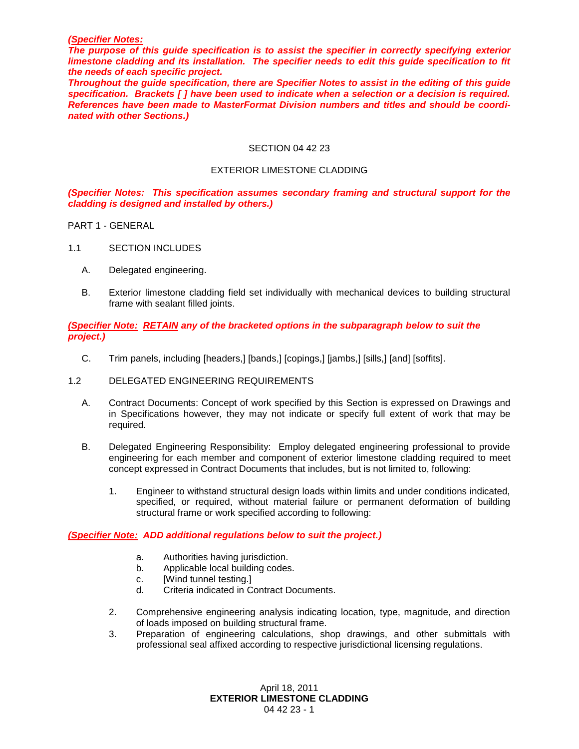#### *(Specifier Notes:*

*The purpose of this guide specification is to assist the specifier in correctly specifying exterior limestone cladding and its installation. The specifier needs to edit this guide specification to fit the needs of each specific project.* 

*Throughout the guide specification, there are Specifier Notes to assist in the editing of this guide specification. Brackets [ ] have been used to indicate when a selection or a decision is required. References have been made to MasterFormat Division numbers and titles and should be coordinated with other Sections.)*

#### SECTION 04 42 23

#### EXTERIOR LIMESTONE CLADDING

*(Specifier Notes: This specification assumes secondary framing and structural support for the cladding is designed and installed by others.)*

PART 1 - GENERAL

- 1.1 SECTION INCLUDES
	- A. Delegated engineering.
	- B. Exterior limestone cladding field set individually with mechanical devices to building structural frame with sealant filled joints.

#### *(Specifier Note: RETAIN any of the bracketed options in the subparagraph below to suit the project.)*

C. Trim panels, including [headers,] [bands,] [copings,] [jambs,] [sills,] [and] [soffits].

### 1.2 DELEGATED ENGINEERING REQUIREMENTS

- A. Contract Documents: Concept of work specified by this Section is expressed on Drawings and in Specifications however, they may not indicate or specify full extent of work that may be required.
- B. Delegated Engineering Responsibility: Employ delegated engineering professional to provide engineering for each member and component of exterior limestone cladding required to meet concept expressed in Contract Documents that includes, but is not limited to, following:
	- 1. Engineer to withstand structural design loads within limits and under conditions indicated, specified, or required, without material failure or permanent deformation of building structural frame or work specified according to following:

#### *(Specifier Note: ADD additional regulations below to suit the project.)*

- a. Authorities having jurisdiction.
- b. Applicable local building codes.
- c. [Wind tunnel testing.]
- d. Criteria indicated in Contract Documents.
- 2. Comprehensive engineering analysis indicating location, type, magnitude, and direction of loads imposed on building structural frame.
- 3. Preparation of engineering calculations, shop drawings, and other submittals with professional seal affixed according to respective jurisdictional licensing regulations.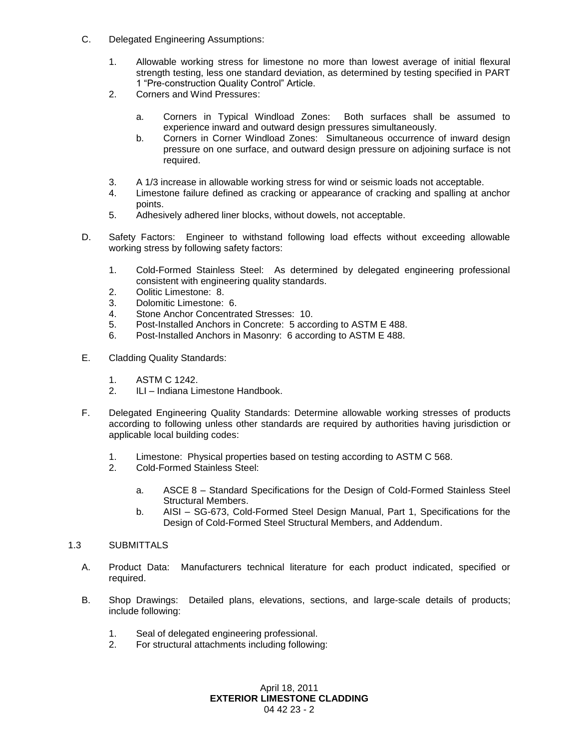- C. Delegated Engineering Assumptions:
	- 1. Allowable working stress for limestone no more than lowest average of initial flexural strength testing, less one standard deviation, as determined by testing specified in PART 1 "Pre-construction Quality Control" Article.
	- 2. Corners and Wind Pressures:
		- a. Corners in Typical Windload Zones: Both surfaces shall be assumed to experience inward and outward design pressures simultaneously.
		- b. Corners in Corner Windload Zones: Simultaneous occurrence of inward design pressure on one surface, and outward design pressure on adjoining surface is not required.
	- 3. A 1/3 increase in allowable working stress for wind or seismic loads not acceptable.
	- 4. Limestone failure defined as cracking or appearance of cracking and spalling at anchor points.
	- 5. Adhesively adhered liner blocks, without dowels, not acceptable.
- D. Safety Factors: Engineer to withstand following load effects without exceeding allowable working stress by following safety factors:
	- 1. Cold-Formed Stainless Steel: As determined by delegated engineering professional consistent with engineering quality standards.
	- 2. Oolitic Limestone: 8.
	- 3. Dolomitic Limestone: 6.
	- 4. Stone Anchor Concentrated Stresses: 10.
	- 5. Post-Installed Anchors in Concrete: 5 according to ASTM E 488.
	- 6. Post-Installed Anchors in Masonry: 6 according to ASTM E 488.
- E. Cladding Quality Standards:
	- 1. ASTM C 1242.
	- 2. ILI Indiana Limestone Handbook.
- F. Delegated Engineering Quality Standards: Determine allowable working stresses of products according to following unless other standards are required by authorities having jurisdiction or applicable local building codes:
	- 1. Limestone: Physical properties based on testing according to ASTM C 568.
	- 2. Cold-Formed Stainless Steel:
		- a. ASCE 8 Standard Specifications for the Design of Cold-Formed Stainless Steel Structural Members.
		- b. AISI SG-673, Cold-Formed Steel Design Manual, Part 1, Specifications for the Design of Cold-Formed Steel Structural Members, and Addendum.

### 1.3 SUBMITTALS

- A. Product Data: Manufacturers technical literature for each product indicated, specified or required.
- B. Shop Drawings: Detailed plans, elevations, sections, and large-scale details of products; include following:
	- 1. Seal of delegated engineering professional.
	- 2. For structural attachments including following: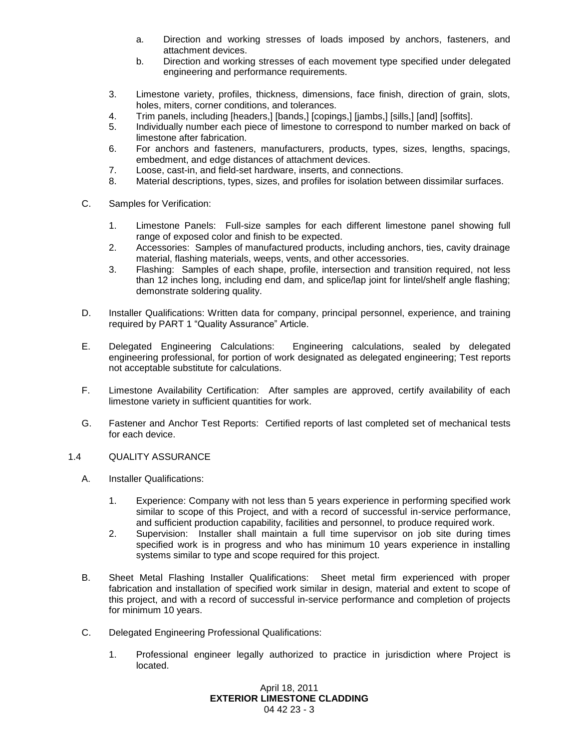- a. Direction and working stresses of loads imposed by anchors, fasteners, and attachment devices.
- b. Direction and working stresses of each movement type specified under delegated engineering and performance requirements.
- 3. Limestone variety, profiles, thickness, dimensions, face finish, direction of grain, slots, holes, miters, corner conditions, and tolerances.
- 4. Trim panels, including [headers,] [bands,] [copings,] [jambs,] [sills,] [and] [soffits].
- 5. Individually number each piece of limestone to correspond to number marked on back of limestone after fabrication.
- 6. For anchors and fasteners, manufacturers, products, types, sizes, lengths, spacings, embedment, and edge distances of attachment devices.
- 7. Loose, cast-in, and field-set hardware, inserts, and connections.
- 8. Material descriptions, types, sizes, and profiles for isolation between dissimilar surfaces.
- C. Samples for Verification:
	- 1. Limestone Panels: Full-size samples for each different limestone panel showing full range of exposed color and finish to be expected.
	- 2. Accessories: Samples of manufactured products, including anchors, ties, cavity drainage material, flashing materials, weeps, vents, and other accessories.
	- 3. Flashing: Samples of each shape, profile, intersection and transition required, not less than 12 inches long, including end dam, and splice/lap joint for lintel/shelf angle flashing; demonstrate soldering quality.
- D. Installer Qualifications: Written data for company, principal personnel, experience, and training required by PART 1 "Quality Assurance" Article.
- E. Delegated Engineering Calculations: Engineering calculations, sealed by delegated engineering professional, for portion of work designated as delegated engineering; Test reports not acceptable substitute for calculations.
- F. Limestone Availability Certification: After samples are approved, certify availability of each limestone variety in sufficient quantities for work.
- G. Fastener and Anchor Test Reports: Certified reports of last completed set of mechanical tests for each device.

### 1.4 QUALITY ASSURANCE

- A. Installer Qualifications:
	- 1. Experience: Company with not less than 5 years experience in performing specified work similar to scope of this Project, and with a record of successful in-service performance, and sufficient production capability, facilities and personnel, to produce required work.
	- 2. Supervision: Installer shall maintain a full time supervisor on job site during times specified work is in progress and who has minimum 10 years experience in installing systems similar to type and scope required for this project.
- B. Sheet Metal Flashing Installer Qualifications: Sheet metal firm experienced with proper fabrication and installation of specified work similar in design, material and extent to scope of this project, and with a record of successful in-service performance and completion of projects for minimum 10 years.
- C. Delegated Engineering Professional Qualifications:
	- 1. Professional engineer legally authorized to practice in jurisdiction where Project is located.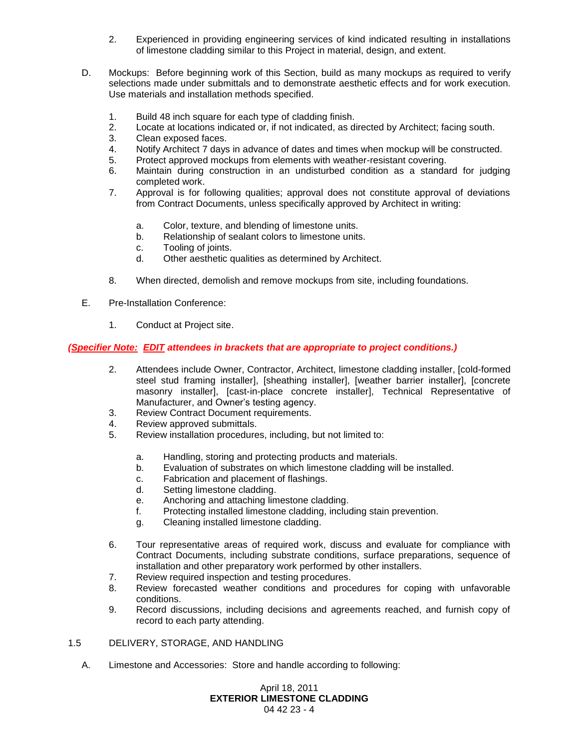- 2. Experienced in providing engineering services of kind indicated resulting in installations of limestone cladding similar to this Project in material, design, and extent.
- D. Mockups: Before beginning work of this Section, build as many mockups as required to verify selections made under submittals and to demonstrate aesthetic effects and for work execution. Use materials and installation methods specified.
	- 1. Build 48 inch square for each type of cladding finish.
	- 2. Locate at locations indicated or, if not indicated, as directed by Architect; facing south.
	- 3. Clean exposed faces.
	- 4. Notify Architect 7 days in advance of dates and times when mockup will be constructed.
	- 5. Protect approved mockups from elements with weather-resistant covering.
	- 6. Maintain during construction in an undisturbed condition as a standard for judging completed work.
	- 7. Approval is for following qualities; approval does not constitute approval of deviations from Contract Documents, unless specifically approved by Architect in writing:
		- a. Color, texture, and blending of limestone units.
		- b. Relationship of sealant colors to limestone units.
		- c. Tooling of joints.
		- d. Other aesthetic qualities as determined by Architect.
	- 8. When directed, demolish and remove mockups from site, including foundations.
- E. Pre-Installation Conference:
	- 1. Conduct at Project site.

## *(Specifier Note: EDIT attendees in brackets that are appropriate to project conditions.)*

- 2. Attendees include Owner, Contractor, Architect, limestone cladding installer, [cold-formed steel stud framing installer], [sheathing installer], [weather barrier installer], [concrete masonry installer], [cast-in-place concrete installer], Technical Representative of Manufacturer, and Owner's testing agency.
- 3. Review Contract Document requirements.
- 4. Review approved submittals.
- 5. Review installation procedures, including, but not limited to:
	- a. Handling, storing and protecting products and materials.
	- b. Evaluation of substrates on which limestone cladding will be installed.
	- c. Fabrication and placement of flashings.
	- d. Setting limestone cladding.
	- e. Anchoring and attaching limestone cladding.
	- f. Protecting installed limestone cladding, including stain prevention.
	- g. Cleaning installed limestone cladding.
- 6. Tour representative areas of required work, discuss and evaluate for compliance with Contract Documents, including substrate conditions, surface preparations, sequence of installation and other preparatory work performed by other installers.
- 7. Review required inspection and testing procedures.
- 8. Review forecasted weather conditions and procedures for coping with unfavorable conditions.
- 9. Record discussions, including decisions and agreements reached, and furnish copy of record to each party attending.
- 1.5 DELIVERY, STORAGE, AND HANDLING
	- A. Limestone and Accessories: Store and handle according to following: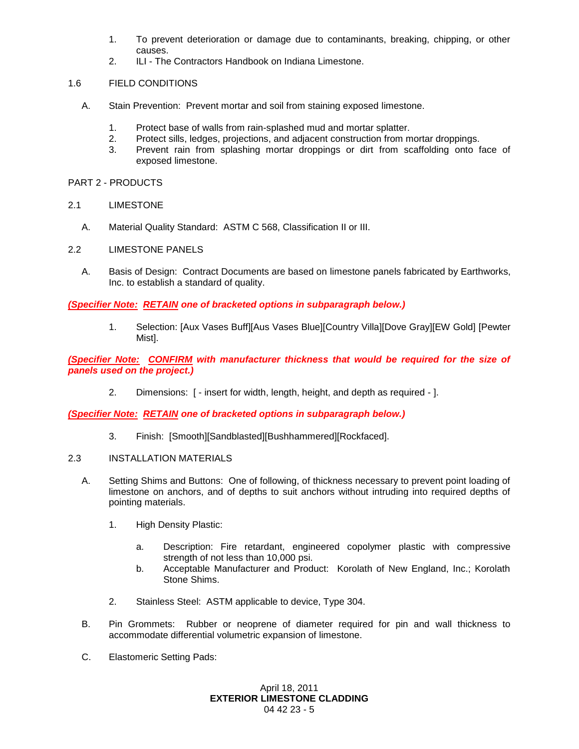- 1. To prevent deterioration or damage due to contaminants, breaking, chipping, or other causes.
- 2. ILI The Contractors Handbook on Indiana Limestone.

# 1.6 FIELD CONDITIONS

- A. Stain Prevention: Prevent mortar and soil from staining exposed limestone.
	- 1. Protect base of walls from rain-splashed mud and mortar splatter.
	- 2. Protect sills, ledges, projections, and adjacent construction from mortar droppings.
	- 3. Prevent rain from splashing mortar droppings or dirt from scaffolding onto face of exposed limestone.

PART 2 - PRODUCTS

## 2.1 LIMESTONE

A. Material Quality Standard: ASTM C 568, Classification II or III.

## 2.2 LIMESTONE PANELS

A. Basis of Design: Contract Documents are based on limestone panels fabricated by Earthworks, Inc. to establish a standard of quality.

## *(Specifier Note: RETAIN one of bracketed options in subparagraph below.)*

1. Selection: [Aux Vases Buff][Aus Vases Blue][Country Villa][Dove Gray][EW Gold] [Pewter Mist].

*(Specifier Note: CONFIRM with manufacturer thickness that would be required for the size of panels used on the project.)*

2. Dimensions: [ - insert for width, length, height, and depth as required - ].

*(Specifier Note: RETAIN one of bracketed options in subparagraph below.)*

- 3. Finish: [Smooth][Sandblasted][Bushhammered][Rockfaced].
- 2.3 INSTALLATION MATERIALS
	- A. Setting Shims and Buttons: One of following, of thickness necessary to prevent point loading of limestone on anchors, and of depths to suit anchors without intruding into required depths of pointing materials.
		- 1. High Density Plastic:
			- a. Description: Fire retardant, engineered copolymer plastic with compressive strength of not less than 10,000 psi.
			- b. Acceptable Manufacturer and Product: Korolath of New England, Inc.; Korolath Stone Shims.
		- 2. Stainless Steel: ASTM applicable to device, Type 304.
	- B. Pin Grommets: Rubber or neoprene of diameter required for pin and wall thickness to accommodate differential volumetric expansion of limestone.
	- C. Elastomeric Setting Pads: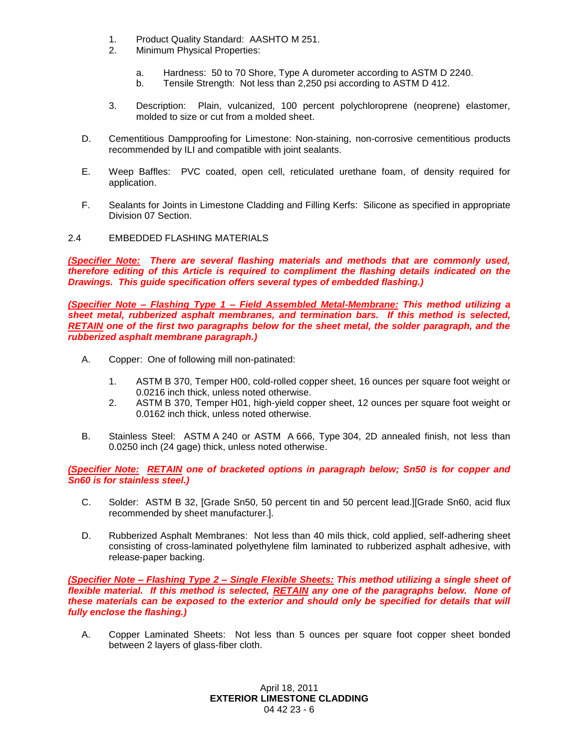- 1. Product Quality Standard: AASHTO M 251.
- 2. Minimum Physical Properties:
	- a. Hardness: 50 to 70 Shore, Type A durometer according to ASTM D 2240.
	- b. Tensile Strength: Not less than 2,250 psi according to ASTM D 412.
- 3. Description: Plain, vulcanized, 100 percent polychloroprene (neoprene) elastomer, molded to size or cut from a molded sheet.
- D. Cementitious Dampproofing for Limestone: Non-staining, non-corrosive cementitious products recommended by ILI and compatible with joint sealants.
- E. Weep Baffles: PVC coated, open cell, reticulated urethane foam, of density required for application.
- F. Sealants for Joints in Limestone Cladding and Filling Kerfs: Silicone as specified in appropriate Division 07 Section.
- 2.4 EMBEDDED FLASHING MATERIALS

*(Specifier Note: There are several flashing materials and methods that are commonly used, therefore editing of this Article is required to compliment the flashing details indicated on the Drawings. This guide specification offers several types of embedded flashing.)*

*(Specifier Note – Flashing Type 1 – Field Assembled Metal-Membrane: This method utilizing a sheet metal, rubberized asphalt membranes, and termination bars. If this method is selected, RETAIN one of the first two paragraphs below for the sheet metal, the solder paragraph, and the rubberized asphalt membrane paragraph.)*

- A. Copper: One of following mill non-patinated:
	- 1. ASTM B 370, Temper H00, cold-rolled copper sheet, 16 ounces per square foot weight or 0.0216 inch thick, unless noted otherwise.
	- 2. ASTM B 370, Temper H01, high-yield copper sheet, 12 ounces per square foot weight or 0.0162 inch thick, unless noted otherwise.
- B. Stainless Steel: ASTM A 240 or ASTM A 666, Type 304, 2D annealed finish, not less than 0.0250 inch (24 gage) thick, unless noted otherwise.

*(Specifier Note: RETAIN one of bracketed options in paragraph below; Sn50 is for copper and Sn60 is for stainless steel.)*

- C. Solder: ASTM B 32, [Grade Sn50, 50 percent tin and 50 percent lead.][Grade Sn60, acid flux recommended by sheet manufacturer.].
- D. Rubberized Asphalt Membranes: Not less than 40 mils thick, cold applied, self-adhering sheet consisting of cross-laminated polyethylene film laminated to rubberized asphalt adhesive, with release-paper backing.

*(Specifier Note – Flashing Type 2 – Single Flexible Sheets: This method utilizing a single sheet of flexible material. If this method is selected, RETAIN any one of the paragraphs below. None of these materials can be exposed to the exterior and should only be specified for details that will fully enclose the flashing.)*

A. Copper Laminated Sheets: Not less than 5 ounces per square foot copper sheet bonded between 2 layers of glass-fiber cloth.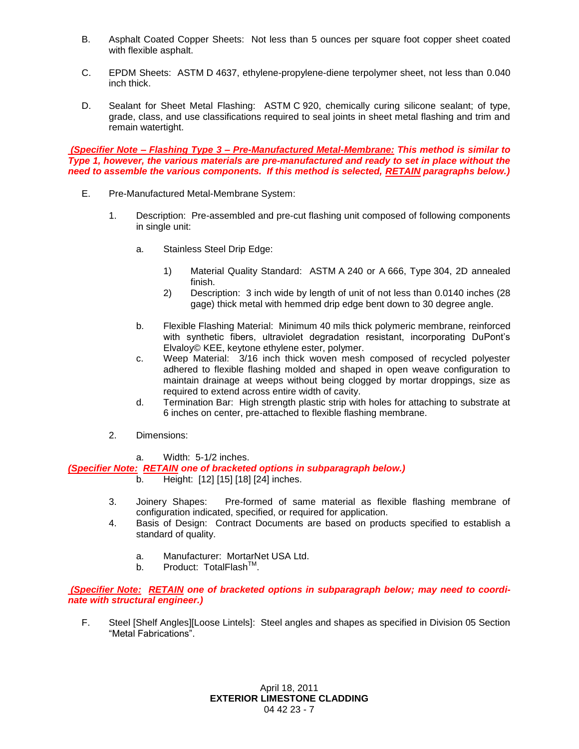- B. Asphalt Coated Copper Sheets: Not less than 5 ounces per square foot copper sheet coated with flexible asphalt.
- C. EPDM Sheets: ASTM D 4637, ethylene-propylene-diene terpolymer sheet, not less than 0.040 inch thick.
- D. Sealant for Sheet Metal Flashing: ASTM C 920, chemically curing silicone sealant; of type, grade, class, and use classifications required to seal joints in sheet metal flashing and trim and remain watertight.

*(Specifier Note – Flashing Type 3 – Pre-Manufactured Metal-Membrane: This method is similar to Type 1, however, the various materials are pre-manufactured and ready to set in place without the need to assemble the various components. If this method is selected, RETAIN paragraphs below.)*

- E. Pre-Manufactured Metal-Membrane System:
	- 1. Description: Pre-assembled and pre-cut flashing unit composed of following components in single unit:
		- a. Stainless Steel Drip Edge:
			- 1) Material Quality Standard: ASTM A 240 or A 666, Type 304, 2D annealed finish.
			- 2) Description: 3 inch wide by length of unit of not less than 0.0140 inches (28 gage) thick metal with hemmed drip edge bent down to 30 degree angle.
		- b. Flexible Flashing Material: Minimum 40 mils thick polymeric membrane, reinforced with synthetic fibers, ultraviolet degradation resistant, incorporating DuPont's Elvaloy© KEE, keytone ethylene ester, polymer.
		- c. Weep Material: 3/16 inch thick woven mesh composed of recycled polyester adhered to flexible flashing molded and shaped in open weave configuration to maintain drainage at weeps without being clogged by mortar droppings, size as required to extend across entire width of cavity.
		- d. Termination Bar: High strength plastic strip with holes for attaching to substrate at 6 inches on center, pre-attached to flexible flashing membrane.
	- 2. Dimensions:

### a. Width: 5-1/2 inches.

*(Specifier Note: RETAIN one of bracketed options in subparagraph below.)*

- b. Height: [12] [15] [18] [24] inches.
- 3. Joinery Shapes: Pre-formed of same material as flexible flashing membrane of configuration indicated, specified, or required for application.
- 4. Basis of Design: Contract Documents are based on products specified to establish a standard of quality.
	- a. Manufacturer: MortarNet USA Ltd.
	- b. Product: TotalFlash™.

*(Specifier Note: RETAIN one of bracketed options in subparagraph below; may need to coordinate with structural engineer.)*

F. Steel [Shelf Angles][Loose Lintels]: Steel angles and shapes as specified in Division 05 Section "Metal Fabrications".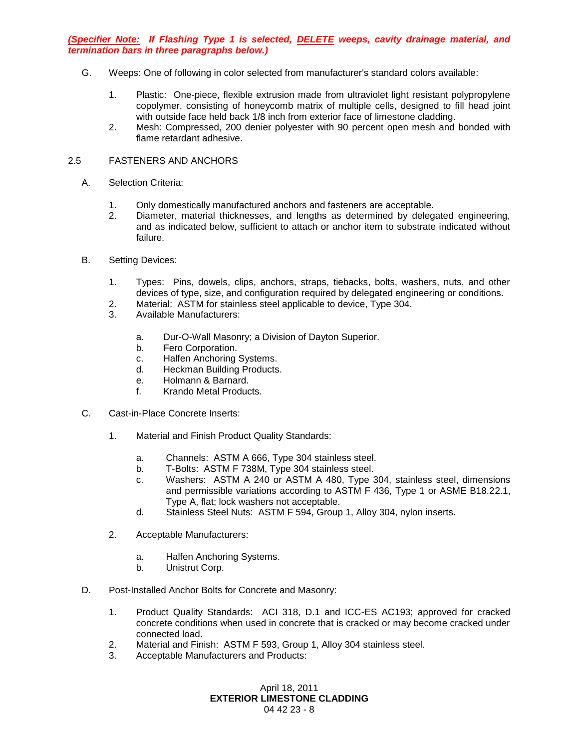*(Specifier Note: If Flashing Type 1 is selected, DELETE weeps, cavity drainage material, and termination bars in three paragraphs below.)*

- G. Weeps: One of following in color selected from manufacturer's standard colors available:
	- 1. Plastic: One-piece, flexible extrusion made from ultraviolet light resistant polypropylene copolymer, consisting of honeycomb matrix of multiple cells, designed to fill head joint with outside face held back 1/8 inch from exterior face of limestone cladding.
	- 2. Mesh: Compressed, 200 denier polyester with 90 percent open mesh and bonded with flame retardant adhesive.

### 2.5 FASTENERS AND ANCHORS

- A. Selection Criteria:
	- 1. Only domestically manufactured anchors and fasteners are acceptable.
	- 2. Diameter, material thicknesses, and lengths as determined by delegated engineering, and as indicated below, sufficient to attach or anchor item to substrate indicated without failure.
- B. Setting Devices:
	- 1. Types: Pins, dowels, clips, anchors, straps, tiebacks, bolts, washers, nuts, and other devices of type, size, and configuration required by delegated engineering or conditions.
	- 2. Material: ASTM for stainless steel applicable to device, Type 304.
	- 3. Available Manufacturers:
		- a. Dur-O-Wall Masonry; a Division of Dayton Superior.
		- b. Fero Corporation.
		- c. Halfen Anchoring Systems.
		- d. Heckman Building Products.
		- e. Holmann & Barnard.
		- f. Krando Metal Products.
- C. Cast-in-Place Concrete Inserts:
	- 1. Material and Finish Product Quality Standards:
		- a. Channels: ASTM A 666, Type 304 stainless steel.
		- b. T-Bolts: ASTM F 738M, Type 304 stainless steel.
		- c. Washers: ASTM A 240 or ASTM A 480, Type 304, stainless steel, dimensions and permissible variations according to ASTM F 436, Type 1 or ASME B18.22.1, Type A, flat; lock washers not acceptable.
		- d. Stainless Steel Nuts: ASTM F 594, Group 1, Alloy 304, nylon inserts.
	- 2. Acceptable Manufacturers:
		- a. Halfen Anchoring Systems.
		- b. Unistrut Corp.
- D. Post-Installed Anchor Bolts for Concrete and Masonry:
	- 1. Product Quality Standards: ACI 318, D.1 and ICC-ES AC193; approved for cracked concrete conditions when used in concrete that is cracked or may become cracked under connected load.
	- 2. Material and Finish: ASTM F 593, Group 1, Alloy 304 stainless steel.
	- 3. Acceptable Manufacturers and Products: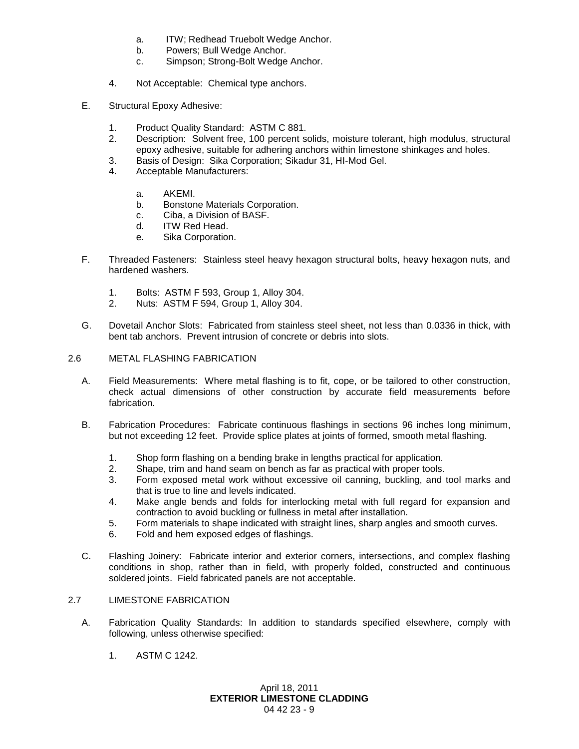- a. ITW; Redhead Truebolt Wedge Anchor.
- b. Powers; Bull Wedge Anchor.
- c. Simpson; Strong-Bolt Wedge Anchor.
- 4. Not Acceptable: Chemical type anchors.
- E. Structural Epoxy Adhesive:
	- 1. Product Quality Standard: ASTM C 881.
	- 2. Description: Solvent free, 100 percent solids, moisture tolerant, high modulus, structural epoxy adhesive, suitable for adhering anchors within limestone shinkages and holes.
	- 3. Basis of Design: Sika Corporation; Sikadur 31, HI-Mod Gel.
	- 4. Acceptable Manufacturers:
		- a. AKEMI.
		- b. Bonstone Materials Corporation.
		- c. Ciba, a Division of BASF.
		- d. ITW Red Head.
		- e. Sika Corporation.
- F. Threaded Fasteners: Stainless steel heavy hexagon structural bolts, heavy hexagon nuts, and hardened washers.
	- 1. Bolts: ASTM F 593, Group 1, Alloy 304.
	- 2. Nuts: ASTM F 594, Group 1, Alloy 304.
- G. Dovetail Anchor Slots: Fabricated from stainless steel sheet, not less than 0.0336 in thick, with bent tab anchors. Prevent intrusion of concrete or debris into slots.
- 2.6 METAL FLASHING FABRICATION
	- A. Field Measurements: Where metal flashing is to fit, cope, or be tailored to other construction, check actual dimensions of other construction by accurate field measurements before fabrication.
	- B. Fabrication Procedures: Fabricate continuous flashings in sections 96 inches long minimum, but not exceeding 12 feet. Provide splice plates at joints of formed, smooth metal flashing.
		- 1. Shop form flashing on a bending brake in lengths practical for application.
		- 2. Shape, trim and hand seam on bench as far as practical with proper tools.
		- 3. Form exposed metal work without excessive oil canning, buckling, and tool marks and that is true to line and levels indicated.
		- 4. Make angle bends and folds for interlocking metal with full regard for expansion and contraction to avoid buckling or fullness in metal after installation.
		- 5. Form materials to shape indicated with straight lines, sharp angles and smooth curves.
		- 6. Fold and hem exposed edges of flashings.
	- C. Flashing Joinery: Fabricate interior and exterior corners, intersections, and complex flashing conditions in shop, rather than in field, with properly folded, constructed and continuous soldered joints. Field fabricated panels are not acceptable.

# 2.7 LIMESTONE FABRICATION

- A. Fabrication Quality Standards: In addition to standards specified elsewhere, comply with following, unless otherwise specified:
	- 1. ASTM C 1242.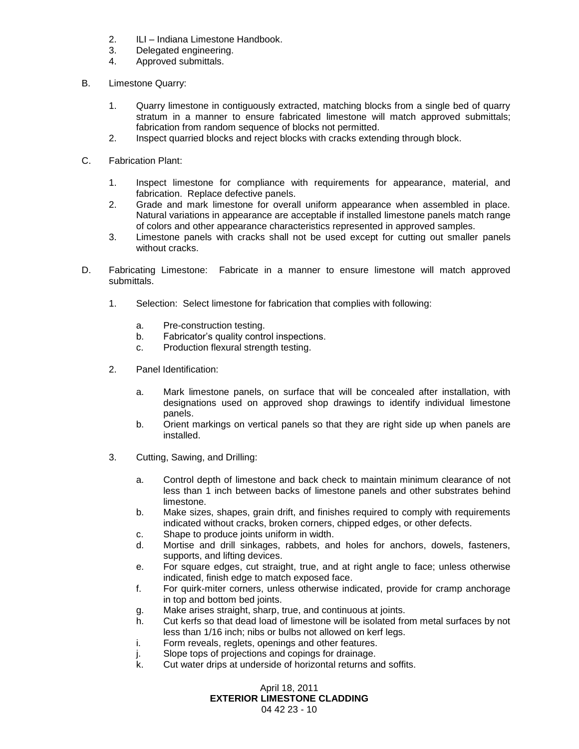- 2. ILI Indiana Limestone Handbook.
- 3. Delegated engineering.
- 4. Approved submittals.
- B. Limestone Quarry:
	- 1. Quarry limestone in contiguously extracted, matching blocks from a single bed of quarry stratum in a manner to ensure fabricated limestone will match approved submittals; fabrication from random sequence of blocks not permitted.
	- 2. Inspect quarried blocks and reject blocks with cracks extending through block.
- C. Fabrication Plant:
	- 1. Inspect limestone for compliance with requirements for appearance, material, and fabrication. Replace defective panels.
	- 2. Grade and mark limestone for overall uniform appearance when assembled in place. Natural variations in appearance are acceptable if installed limestone panels match range of colors and other appearance characteristics represented in approved samples.
	- 3. Limestone panels with cracks shall not be used except for cutting out smaller panels without cracks.
- D. Fabricating Limestone: Fabricate in a manner to ensure limestone will match approved submittals.
	- 1. Selection: Select limestone for fabrication that complies with following:
		- a. Pre-construction testing.
		- b. Fabricator's quality control inspections.
		- c. Production flexural strength testing.
	- 2. Panel Identification:
		- a. Mark limestone panels, on surface that will be concealed after installation, with designations used on approved shop drawings to identify individual limestone panels.
		- b. Orient markings on vertical panels so that they are right side up when panels are installed.
	- 3. Cutting, Sawing, and Drilling:
		- a. Control depth of limestone and back check to maintain minimum clearance of not less than 1 inch between backs of limestone panels and other substrates behind limestone.
		- b. Make sizes, shapes, grain drift, and finishes required to comply with requirements indicated without cracks, broken corners, chipped edges, or other defects.
		- c. Shape to produce joints uniform in width.
		- d. Mortise and drill sinkages, rabbets, and holes for anchors, dowels, fasteners, supports, and lifting devices.
		- e. For square edges, cut straight, true, and at right angle to face; unless otherwise indicated, finish edge to match exposed face.
		- f. For quirk-miter corners, unless otherwise indicated, provide for cramp anchorage in top and bottom bed joints.
		- g. Make arises straight, sharp, true, and continuous at joints.
		- h. Cut kerfs so that dead load of limestone will be isolated from metal surfaces by not less than 1/16 inch; nibs or bulbs not allowed on kerf legs.
		- i. Form reveals, reglets, openings and other features.
		- j. Slope tops of projections and copings for drainage.
		- k. Cut water drips at underside of horizontal returns and soffits.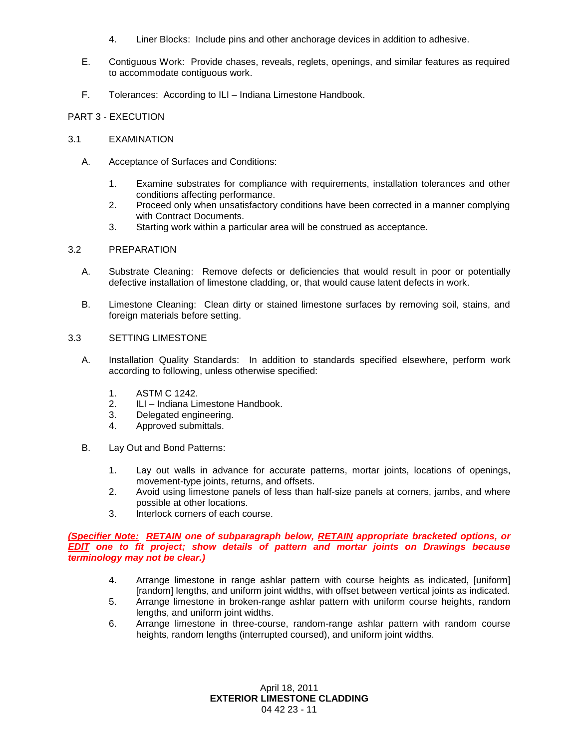- 4. Liner Blocks: Include pins and other anchorage devices in addition to adhesive.
- E. Contiguous Work: Provide chases, reveals, reglets, openings, and similar features as required to accommodate contiguous work.
- F. Tolerances: According to ILI Indiana Limestone Handbook.

### PART 3 - EXECUTION

### 3.1 EXAMINATION

- A. Acceptance of Surfaces and Conditions:
	- 1. Examine substrates for compliance with requirements, installation tolerances and other conditions affecting performance.
	- 2. Proceed only when unsatisfactory conditions have been corrected in a manner complying with Contract Documents.
	- 3. Starting work within a particular area will be construed as acceptance.

### 3.2 PREPARATION

- A. Substrate Cleaning: Remove defects or deficiencies that would result in poor or potentially defective installation of limestone cladding, or, that would cause latent defects in work.
- B. Limestone Cleaning: Clean dirty or stained limestone surfaces by removing soil, stains, and foreign materials before setting.

## 3.3 SETTING LIMESTONE

- A. Installation Quality Standards: In addition to standards specified elsewhere, perform work according to following, unless otherwise specified:
	- 1. ASTM C 1242.
	- 2. ILI Indiana Limestone Handbook.
	- 3. Delegated engineering.
	- 4. Approved submittals.
- B. Lay Out and Bond Patterns:
	- 1. Lay out walls in advance for accurate patterns, mortar joints, locations of openings, movement-type joints, returns, and offsets.
	- 2. Avoid using limestone panels of less than half-size panels at corners, jambs, and where possible at other locations.
	- 3. Interlock corners of each course.

### *(Specifier Note: RETAIN one of subparagraph below, RETAIN appropriate bracketed options, or EDIT one to fit project; show details of pattern and mortar joints on Drawings because terminology may not be clear.)*

- 4. Arrange limestone in range ashlar pattern with course heights as indicated, [uniform] [random] lengths, and uniform joint widths, with offset between vertical joints as indicated.
- 5. Arrange limestone in broken-range ashlar pattern with uniform course heights, random lengths, and uniform joint widths.
- 6. Arrange limestone in three-course, random-range ashlar pattern with random course heights, random lengths (interrupted coursed), and uniform joint widths.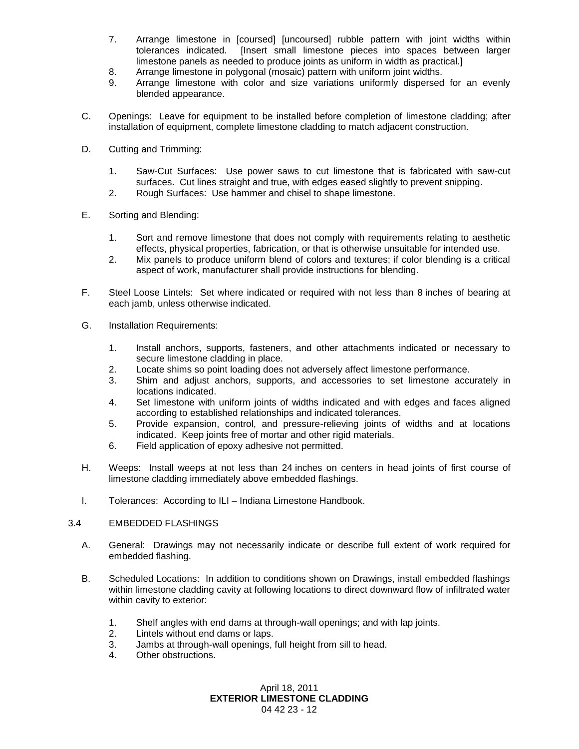- 7. Arrange limestone in [coursed] [uncoursed] rubble pattern with joint widths within tolerances indicated. [Insert small limestone pieces into spaces between larger limestone panels as needed to produce joints as uniform in width as practical.]
- 8. Arrange limestone in polygonal (mosaic) pattern with uniform joint widths.
- 9. Arrange limestone with color and size variations uniformly dispersed for an evenly blended appearance.
- C. Openings: Leave for equipment to be installed before completion of limestone cladding; after installation of equipment, complete limestone cladding to match adjacent construction.
- D. Cutting and Trimming:
	- 1. Saw-Cut Surfaces: Use power saws to cut limestone that is fabricated with saw-cut surfaces. Cut lines straight and true, with edges eased slightly to prevent snipping.
	- 2. Rough Surfaces: Use hammer and chisel to shape limestone.
- E. Sorting and Blending:
	- 1. Sort and remove limestone that does not comply with requirements relating to aesthetic effects, physical properties, fabrication, or that is otherwise unsuitable for intended use.
	- 2. Mix panels to produce uniform blend of colors and textures; if color blending is a critical aspect of work, manufacturer shall provide instructions for blending.
- F. Steel Loose Lintels: Set where indicated or required with not less than 8 inches of bearing at each jamb, unless otherwise indicated.
- G. Installation Requirements:
	- 1. Install anchors, supports, fasteners, and other attachments indicated or necessary to secure limestone cladding in place.
	- 2. Locate shims so point loading does not adversely affect limestone performance.
	- 3. Shim and adjust anchors, supports, and accessories to set limestone accurately in locations indicated.
	- 4. Set limestone with uniform joints of widths indicated and with edges and faces aligned according to established relationships and indicated tolerances.
	- 5. Provide expansion, control, and pressure-relieving joints of widths and at locations indicated. Keep joints free of mortar and other rigid materials.
	- 6. Field application of epoxy adhesive not permitted.
- H. Weeps: Install weeps at not less than 24 inches on centers in head joints of first course of limestone cladding immediately above embedded flashings.
- I. Tolerances: According to ILI Indiana Limestone Handbook.

### 3.4 EMBEDDED FLASHINGS

- A. General: Drawings may not necessarily indicate or describe full extent of work required for embedded flashing.
- B. Scheduled Locations: In addition to conditions shown on Drawings, install embedded flashings within limestone cladding cavity at following locations to direct downward flow of infiltrated water within cavity to exterior:
	- 1. Shelf angles with end dams at through-wall openings; and with lap joints.
	- 2. Lintels without end dams or laps.
	- 3. Jambs at through-wall openings, full height from sill to head.
	- 4. Other obstructions.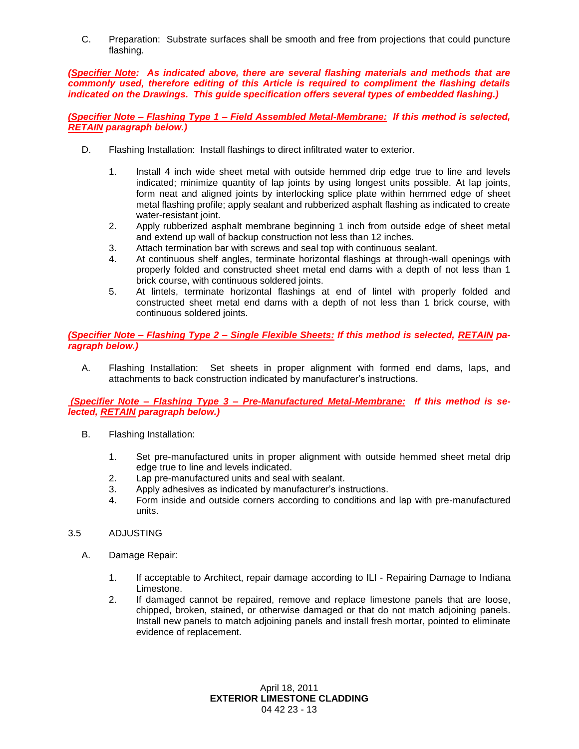C. Preparation: Substrate surfaces shall be smooth and free from projections that could puncture flashing.

*(Specifier Note: As indicated above, there are several flashing materials and methods that are commonly used, therefore editing of this Article is required to compliment the flashing details indicated on the Drawings. This guide specification offers several types of embedded flashing.)*

*(Specifier Note – Flashing Type 1 – Field Assembled Metal-Membrane: If this method is selected, RETAIN paragraph below.)*

- D. Flashing Installation: Install flashings to direct infiltrated water to exterior.
	- 1. Install 4 inch wide sheet metal with outside hemmed drip edge true to line and levels indicated; minimize quantity of lap joints by using longest units possible. At lap joints, form neat and aligned joints by interlocking splice plate within hemmed edge of sheet metal flashing profile; apply sealant and rubberized asphalt flashing as indicated to create water-resistant joint.
	- 2. Apply rubberized asphalt membrane beginning 1 inch from outside edge of sheet metal and extend up wall of backup construction not less than 12 inches.
	- 3. Attach termination bar with screws and seal top with continuous sealant.
	- 4. At continuous shelf angles, terminate horizontal flashings at through-wall openings with properly folded and constructed sheet metal end dams with a depth of not less than 1 brick course, with continuous soldered joints.
	- 5. At lintels, terminate horizontal flashings at end of lintel with properly folded and constructed sheet metal end dams with a depth of not less than 1 brick course, with continuous soldered joints.

*(Specifier Note – Flashing Type 2 – Single Flexible Sheets: If this method is selected, RETAIN paragraph below.)*

A. Flashing Installation: Set sheets in proper alignment with formed end dams, laps, and attachments to back construction indicated by manufacturer's instructions.

*(Specifier Note – Flashing Type 3 – Pre-Manufactured Metal-Membrane: If this method is selected, RETAIN paragraph below.)*

- B. Flashing Installation:
	- 1. Set pre-manufactured units in proper alignment with outside hemmed sheet metal drip edge true to line and levels indicated.
	- 2. Lap pre-manufactured units and seal with sealant.
	- 3. Apply adhesives as indicated by manufacturer's instructions.
	- 4. Form inside and outside corners according to conditions and lap with pre-manufactured units.

# 3.5 ADJUSTING

- A. Damage Repair:
	- 1. If acceptable to Architect, repair damage according to ILI Repairing Damage to Indiana Limestone.
	- 2. If damaged cannot be repaired, remove and replace limestone panels that are loose, chipped, broken, stained, or otherwise damaged or that do not match adjoining panels. Install new panels to match adjoining panels and install fresh mortar, pointed to eliminate evidence of replacement.